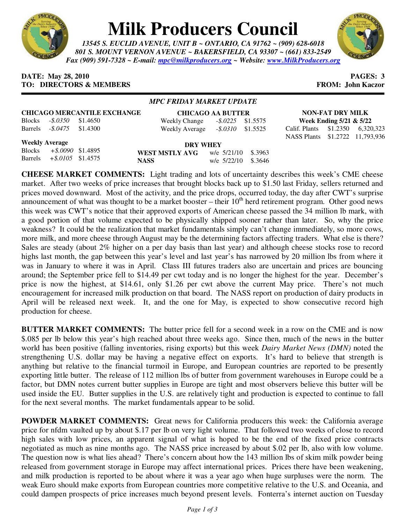

## **Milk Producers Council**

*13545 S. EUCLID AVENUE, UNIT B ~ ONTARIO, CA 91762 ~ (909) 628-6018 801 S. MOUNT VERNON AVENUE ~ BAKERSFIELD, CA 93307 ~ (661) 833-2549 Fax (909) 591-7328 ~ E-mail: mpc@milkproducers.org ~ Website: www.MilkProducers.org*



## **DATE:** May 28, 2010 **PAGES:** 3 **TO: DIRECTORS & MEMBERS FROM: John Kaczor**

## *MPC FRIDAY MARKET UPDATE*

| <b>CHICAGO MERCANTILE EXCHANGE</b> |  |  |                                            | <b>CHICAGO AA BUTTER</b> |  |                                  | <b>NON-FAT DRY MILK</b> |  |  |
|------------------------------------|--|--|--------------------------------------------|--------------------------|--|----------------------------------|-------------------------|--|--|
| Blocks - \$.0350 \$1.4650          |  |  | Weekly Change - \$.0225 \$1.5575           |                          |  | Week Ending $5/21 \& 5/22$       |                         |  |  |
| Barrels - \$.0475 \$1.4300         |  |  | Weekly Average $-.8.0310$ \$1.5525         |                          |  | Calif. Plants \$1.2350 6,320,323 |                         |  |  |
|                                    |  |  |                                            |                          |  | NASS Plants \$1.2722 11,793,936  |                         |  |  |
| <b>Weekly Average</b>              |  |  | <b>DRY WHEY</b>                            |                          |  |                                  |                         |  |  |
| Blocks + \$.0090 \$1.4895          |  |  | <b>WEST MSTLY AVC</b> $w/e$ 5/21/10 \$3963 |                          |  |                                  |                         |  |  |

Blocks *+\$.0090* \$1.4895 Barrels *+\$.0105* \$1.4575

WEST MSTLY AVG **NASS** w/e 5/22/10 \$.3646

**CHEESE MARKET COMMENTS:** Light trading and lots of uncertainty describes this week's CME cheese market. After two weeks of price increases that brought blocks back up to \$1.50 last Friday, sellers returned and prices moved downward. Most of the activity, and the price drops, occurred today, the day after CWT's surprise announcement of what was thought to be a market booster – their  $10<sup>th</sup>$  herd retirement program. Other good news this week was CWT's notice that their approved exports of American cheese passed the 34 million lb mark, with a good portion of that volume expected to be physically shipped sooner rather than later. So, why the price weakness? It could be the realization that market fundamentals simply can't change immediately, so more cows, more milk, and more cheese through August may be the determining factors affecting traders. What else is there? Sales are steady (about 2% higher on a per day basis than last year) and although cheese stocks rose to record highs last month, the gap between this year's level and last year's has narrowed by 20 million lbs from where it was in January to where it was in April. Class III futures traders also are uncertain and prices are bouncing around; the September price fell to \$14.49 per cwt today and is no longer the highest for the year. December's price is now the highest, at \$14.61, only \$1.26 per cwt above the current May price. There's not much encouragement for increased milk production on that board. The NASS report on production of dairy products in April will be released next week. It, and the one for May, is expected to show consecutive record high production for cheese.

**BUTTER MARKET COMMENTS:** The butter price fell for a second week in a row on the CME and is now \$.085 per lb below this year's high reached about three weeks ago. Since then, much of the news in the butter world has been positive (falling inventories, rising exports) but this week *Dairy Market News (DMN)* noted the strengthening U.S. dollar may be having a negative effect on exports. It's hard to believe that strength is anything but relative to the financial turmoil in Europe, and European countries are reported to be presently exporting little butter. The release of 112 million lbs of butter from government warehouses in Europe could be a factor, but DMN notes current butter supplies in Europe are tight and most observers believe this butter will be used inside the EU. Butter supplies in the U.S. are relatively tight and production is expected to continue to fall for the next several months. The market fundamentals appear to be solid.

**POWDER MARKET COMMENTS:** Great news for California producers this week: the California average price for nfdm vaulted up by about \$.17 per lb on very light volume. That followed two weeks of close to record high sales with low prices, an apparent signal of what is hoped to be the end of the fixed price contracts negotiated as much as nine months ago. The NASS price increased by about \$.02 per lb, also with low volume. The question now is what lies ahead? There's concern about how the 143 million lbs of skim milk powder being released from government storage in Europe may affect international prices. Prices there have been weakening, and milk production is reported to be about where it was a year ago when huge surpluses were the norm. The weak Euro should make exports from European countries more competitive relative to the U.S. and Oceania, and could dampen prospects of price increases much beyond present levels. Fonterra's internet auction on Tuesday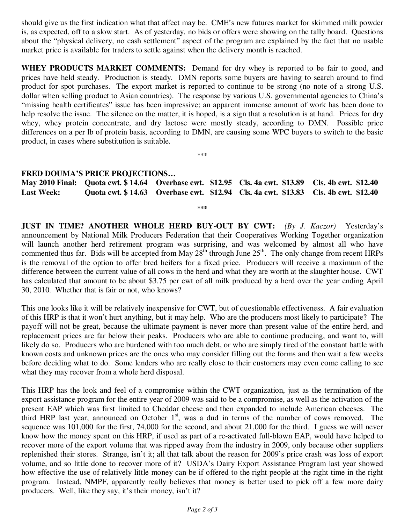should give us the first indication what that affect may be. CME's new futures market for skimmed milk powder is, as expected, off to a slow start. As of yesterday, no bids or offers were showing on the tally board. Questions about the "physical delivery, no cash settlement" aspect of the program are explained by the fact that no usable market price is available for traders to settle against when the delivery month is reached.

**WHEY PRODUCTS MARKET COMMENTS:** Demand for dry whey is reported to be fair to good, and prices have held steady. Production is steady. DMN reports some buyers are having to search around to find product for spot purchases. The export market is reported to continue to be strong (no note of a strong U.S. dollar when selling product to Asian countries). The response by various U.S. governmental agencies to China's "missing health certificates" issue has been impressive; an apparent immense amount of work has been done to help resolve the issue. The silence on the matter, it is hoped, is a sign that a resolution is at hand. Prices for dry whey, whey protein concentrate, and dry lactose were mostly steady, according to DMN. Possible price differences on a per lb of protein basis, according to DMN, are causing some WPC buyers to switch to the basic product, in cases where substitution is suitable.

## **FRED DOUMA'S PRICE PROJECTIONS…**

**May 2010 Final: Quota cwt. \$ 14.64 Overbase cwt. \$12.95 Cls. 4a cwt. \$13.89 Cls. 4b cwt. \$12.40 Last Week: Quota cwt. \$ 14.63 Overbase cwt. \$12.94 Cls. 4a cwt. \$13.83 Cls. 4b cwt. \$12.40** 

**\*\*\*** 

\*\*\*

**JUST IN TIME? ANOTHER WHOLE HERD BUY-OUT BY CWT:** *(By J. Kaczor)* Yesterday's announcement by National Milk Producers Federation that their Cooperatives Working Together organization will launch another herd retirement program was surprising, and was welcomed by almost all who have commented thus far. Bids will be accepted from May  $28<sup>th</sup>$  through June  $25<sup>th</sup>$ . The only change from recent HRPs is the removal of the option to offer bred heifers for a fixed price. Producers will receive a maximum of the difference between the current value of all cows in the herd and what they are worth at the slaughter house. CWT has calculated that amount to be about \$3.75 per cwt of all milk produced by a herd over the year ending April 30, 2010. Whether that is fair or not, who knows?

This one looks like it will be relatively inexpensive for CWT, but of questionable effectiveness. A fair evaluation of this HRP is that it won't hurt anything, but it may help. Who are the producers most likely to participate? The payoff will not be great, because the ultimate payment is never more than present value of the entire herd, and replacement prices are far below their peaks. Producers who are able to continue producing, and want to, will likely do so. Producers who are burdened with too much debt, or who are simply tired of the constant battle with known costs and unknown prices are the ones who may consider filling out the forms and then wait a few weeks before deciding what to do. Some lenders who are really close to their customers may even come calling to see what they may recover from a whole herd disposal.

This HRP has the look and feel of a compromise within the CWT organization, just as the termination of the export assistance program for the entire year of 2009 was said to be a compromise, as well as the activation of the present EAP which was first limited to Cheddar cheese and then expanded to include American cheeses. The third HRP last year, announced on October  $1<sup>st</sup>$ , was a dud in terms of the number of cows removed. The sequence was 101,000 for the first, 74,000 for the second, and about 21,000 for the third. I guess we will never know how the money spent on this HRP, if used as part of a re-activated full-blown EAP, would have helped to recover more of the export volume that was ripped away from the industry in 2009, only because other suppliers replenished their stores. Strange, isn't it; all that talk about the reason for 2009's price crash was loss of export volume, and so little done to recover more of it? USDA's Dairy Export Assistance Program last year showed how effective the use of relatively little money can be if offered to the right people at the right time in the right program. Instead, NMPF, apparently really believes that money is better used to pick off a few more dairy producers. Well, like they say, it's their money, isn't it?